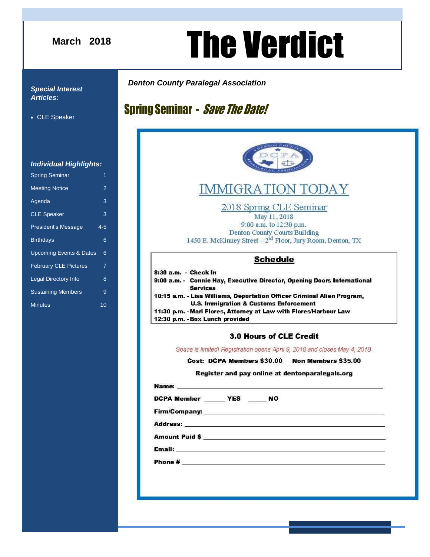#### **March 2018**

# **August 2016** The Verdict

#### *Special Interest Articles:*

CLE Speaker

#### *Individual Highlights:*

| <b>Spring Seminar</b>              | 1              |
|------------------------------------|----------------|
| <b>Meeting Notice</b>              | $\overline{2}$ |
| Agenda                             | 3              |
| <b>CLE Speaker</b>                 | 3              |
| President's Message                | $4 - 5$        |
| <b>Birthdays</b>                   | 6              |
| <b>Upcoming Events &amp; Dates</b> | 6              |
| <b>February CLE Pictures</b>       | 7              |
| <b>Legal Directory Info</b>        | 8              |
| <b>Sustaining Members</b>          | 9              |
| <b>Minutes</b>                     | 10             |
|                                    |                |

## **Spring Seminar - Save The Date!**

*Denton County Paralegal Association*



## **IMMIGRATION TODAY**

2018 Spring CLE Seminar

May 11, 2018 9:00 a.m. to 12:30 p.m. Denton County Courts Building 1450 E. McKinney Street - 2<sup>nd</sup> Floor, Jury Room, Denton, TX

#### **Schedule**

#### 3.0 Hours of CLE Credit

Space is limited! Registration opens April 9, 2018 and closes May 4, 2018.

Cost: DCPA Members \$30.00 Non Members \$35.00

#### Register and pay online at dentonparalegals.org

Name: DCPA Member \_\_\_\_\_\_ YES \_\_\_\_\_\_ NO Address: Amount Paid \$ Email: <u>Alexander School (Alexander School (Alexander School)</u> **Phone #**  $\qquad \qquad$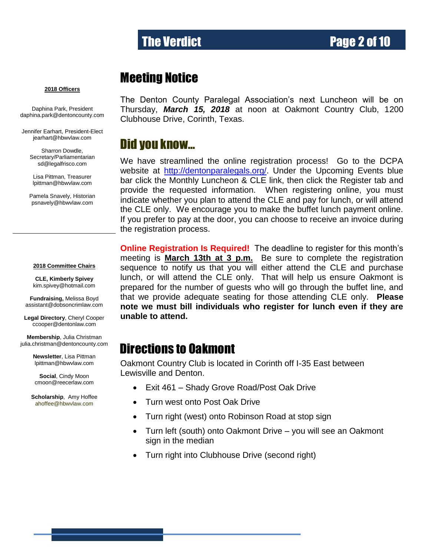## The Verdict **Page 2 of 10**

### Meeting Notice

#### **2018 Officers**

Daphina Park, President [daphina.park@dentoncounty.com](mailto:psnavely@hbwvlaw.com)

Jennifer Earhart, President-Elect jearhart@hbwvlaw.com

> Sharron Dowdle, Secretary/Parliamentarian sd@legalfrisco.com

Lisa Pittman, Treasurer [lpittman@hbwvlaw.com](mailto:lpittman@hbwvlaw.com)

Pamela Snavely, Historian [psnavely@hbwvlaw.com](mailto:Kim.guertler@dentoncounty.com)

#### **2018 Committee Chairs**

**CLE, Kimberly Spivey** [kim.spivey@hotmail.com](mailto:kim.spivey@hotmail.com)

**Fundraising,** Melissa Boyd [assistant@dobsoncrimlaw.com](mailto:assistant@dobsoncrimlaw.com) 

**Legal Directory**, Cheryl Cooper [ccooper@dentonlaw.com](mailto:BHunter410@gmail.com)

**Membership**, Julia Christman [julia.christman@dentoncounty.com](mailto:gottigina@yahoo.com)

> **Newsletter**, Lisa Pittman [lpittman@hbwvlaw.com](mailto:lpittman@hbwvlaw.com)

**Social**, Cindy Moon cmoon@reecerlaw.com

**Scholarship**, Amy Hoffee ahoffee@hbwvlaw.com

The Denton County Paralegal Association's next Luncheon will be on Thursday, *March 15, 2018* at noon at Oakmont Country Club, 1200 Clubhouse Drive, Corinth, Texas.

### Did you know…

We have streamlined the online registration process! Go to the DCPA website at [http://dentonparalegals.org/.](http://dentonparalegals.org/) Under the Upcoming Events blue bar click the Monthly Luncheon & CLE link, then click the Register tab and provide the requested information. When registering online, you must indicate whether you plan to attend the CLE and pay for lunch, or will attend the CLE only. We encourage you to make the buffet lunch payment online. If you prefer to pay at the door, you can choose to receive an invoice during the registration process.

**Online Registration Is Required!** The deadline to register for this month's meeting is **March 13th at 3 p.m.** Be sure to complete the registration sequence to notify us that you will either attend the CLE and purchase lunch, or will attend the CLE only. That will help us ensure Oakmont is prepared for the number of guests who will go through the buffet line, and that we provide adequate seating for those attending CLE only. **Please note we must bill individuals who register for lunch even if they are unable to attend.**

### Directions to Oakmont

Oakmont Country Club is located in Corinth off I-35 East between Lewisville and Denton.  $\overline{a}$ 

- Exit 461 Shady Grove Road/Post Oak Drive
- Turn west onto Post Oak Drive
- Turn right (west) onto Robinson Road at stop sign
- Turn left (south) onto Oakmont Drive you will see an Oakmont sign in the median
- Turn right into Clubhouse Drive (second right)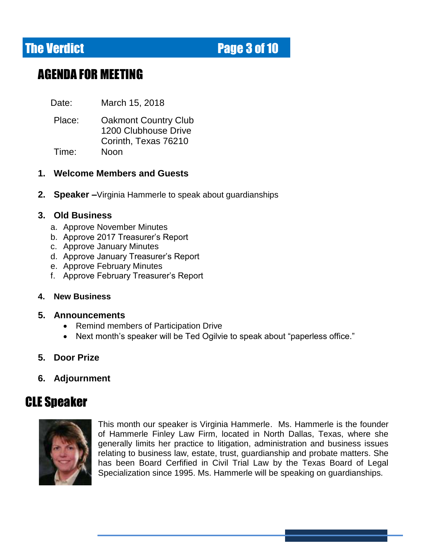## **The Verdict Allen Contract Contract Page 3 of 10**

## AGENDA FOR MEETING

Date: March 15, 2018

Place: Oakmont Country Club 1200 Clubhouse Drive Corinth, Texas 76210 Time: Noon

#### **1. Welcome Members and Guests**

**2. Speaker –**Virginia Hammerle to speak about guardianships

#### **3. Old Business**

- a. Approve November Minutes
- b. Approve 2017 Treasurer's Report
- c. Approve January Minutes
- d. Approve January Treasurer's Report
- e. Approve February Minutes
- f. Approve February Treasurer's Report

#### **4. New Business**

#### **5. Announcements**

- Remind members of Participation Drive
- Next month's speaker will be Ted Ogilvie to speak about "paperless office."
- **5. Door Prize**
- **6. Adjournment**

## **CLE Speaker**



This month our speaker is Virginia Hammerle. Ms. Hammerle is the founder of Hammerle Finley Law Firm, located in North Dallas, Texas, where she generally limits her practice to litigation, administration and business issues relating to business law, estate, trust, guardianship and probate matters. She has been Board Cerfified in Civil Trial Law by the Texas Board of Legal Specialization since 1995. Ms. Hammerle will be speaking on guardianships.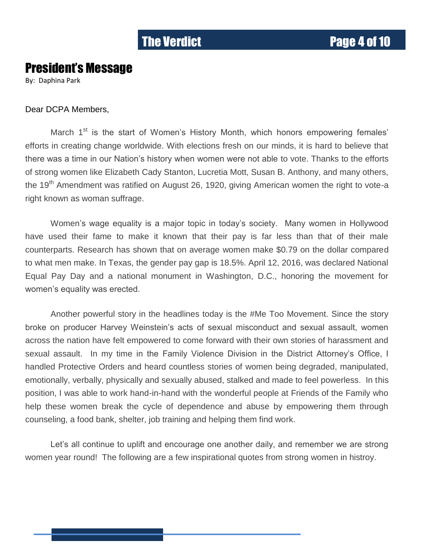### President's Message

By: Daphina Park

#### Dear DCPA Members,

March 1<sup>st</sup> is the start of Women's History Month, which honors empowering females' efforts in creating change worldwide. With elections fresh on our minds, it is hard to believe that there was a time in our Nation's history when women were not able to vote. Thanks to the efforts of strong women like Elizabeth Cady Stanton, Lucretia Mott, Susan B. Anthony, and many others, the 19<sup>th</sup> Amendment was ratified on August 26, 1920, giving American women the right to vote-a right known as woman suffrage.

Women's wage equality is a major topic in today's society. Many women in Hollywood have used their fame to make it known that their pay is far less than that of their male counterparts. Research has shown that on average women make \$0.79 on the dollar compared to what men make. In Texas, the gender pay gap is 18.5%. April 12, 2016, was declared National Equal Pay Day and a national monument in Washington, D.C., honoring the movement for women's equality was erected.

Another powerful story in the headlines today is the #Me Too Movement. Since the story broke on producer Harvey Weinstein's acts of sexual misconduct and sexual assault, women across the nation have felt empowered to come forward with their own stories of harassment and sexual assault. In my time in the Family Violence Division in the District Attorney's Office, I handled Protective Orders and heard countless stories of women being degraded, manipulated, emotionally, verbally, physically and sexually abused, stalked and made to feel powerless. In this position, I was able to work hand-in-hand with the wonderful people at Friends of the Family who help these women break the cycle of dependence and abuse by empowering them through counseling, a food bank, shelter, job training and helping them find work.

Let's all continue to uplift and encourage one another daily, and remember we are strong women year round! The following are a few inspirational quotes from strong women in histroy.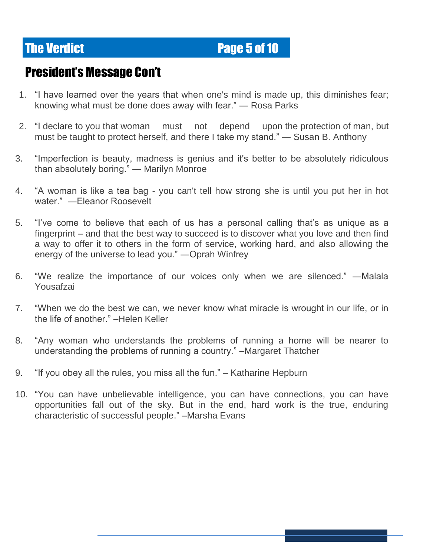**The Verdict Page 5 of 10** 

## President's Message Con't

- 1. "I have learned over the years that when one's mind is made up, this diminishes fear; knowing what must be done does away with fear." ― Rosa Parks
- 2. "I declare to you that woman must not depend upon the protection of man, but must be taught to protect herself, and there I take my stand." ― Susan B. Anthony
- 3. "Imperfection is beauty, madness is genius and it's better to be absolutely ridiculous than absolutely boring." ― Marilyn Monroe
- 4. "A woman is like a tea bag you can't tell how strong she is until you put her in hot water." ―Eleanor Roosevelt
- 5. "I've come to believe that each of us has a personal calling that's as unique as a fingerprint – and that the best way to succeed is to discover what you love and then find a way to offer it to others in the form of service, working hard, and also allowing the energy of the universe to lead you." ―Oprah Winfrey
- 6. "We realize the importance of our voices only when we are silenced." ―Malala Yousafzai
- 7. "When we do the best we can, we never know what miracle is wrought in our life, or in the life of another." –Helen Keller
- 8. "Any woman who understands the problems of running a home will be nearer to understanding the problems of running a country." –Margaret Thatcher
- 9. "If you obey all the rules, you miss all the fun." Katharine Hepburn
- 10. "You can have unbelievable intelligence, you can have connections, you can have opportunities fall out of the sky. But in the end, hard work is the true, enduring characteristic of successful people." –Marsha Evans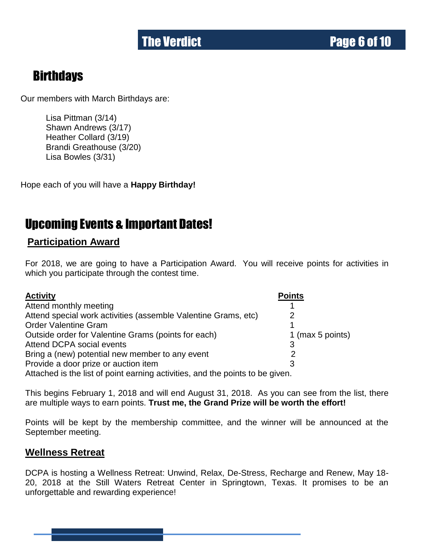## **Birthdays**

Our members with March Birthdays are:

Lisa Pittman (3/14) Shawn Andrews (3/17) Heather Collard (3/19) Brandi Greathouse (3/20) Lisa Bowles (3/31)

Hope each of you will have a **Happy Birthday!**

## Upcoming Events & Important Dates!

#### **Participation Award**

For 2018, we are going to have a Participation Award. You will receive points for activities in which you participate through the contest time.

| <b>Activity</b>                                                               | <b>Points</b>    |
|-------------------------------------------------------------------------------|------------------|
| Attend monthly meeting                                                        |                  |
| Attend special work activities (assemble Valentine Grams, etc)                | 2                |
| <b>Order Valentine Gram</b>                                                   |                  |
| Outside order for Valentine Grams (points for each)                           | 1 (max 5 points) |
| Attend DCPA social events                                                     |                  |
| Bring a (new) potential new member to any event                               |                  |
| Provide a door prize or auction item                                          |                  |
| Attached is the list of point earning activities, and the points to be given. |                  |

This begins February 1, 2018 and will end August 31, 2018. As you can see from the list, there are multiple ways to earn points. **Trust me, the Grand Prize will be worth the effort!** 

Points will be kept by the membership committee, and the winner will be announced at the September meeting.

#### **Wellness Retreat**

DCPA is hosting a Wellness Retreat: Unwind, Relax, De-Stress, Recharge and Renew, May 18- 20, 2018 at the Still Waters Retreat Center in Springtown, Texas. It promises to be an unforgettable and rewarding experience!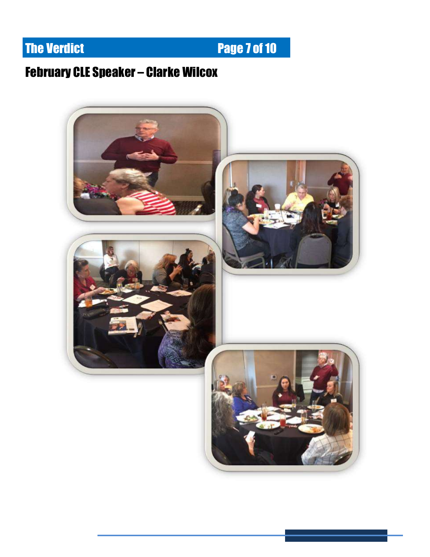## **The Verdict Community Community Page 7 of 10**

## February CLE Speaker – Clarke Wilcox

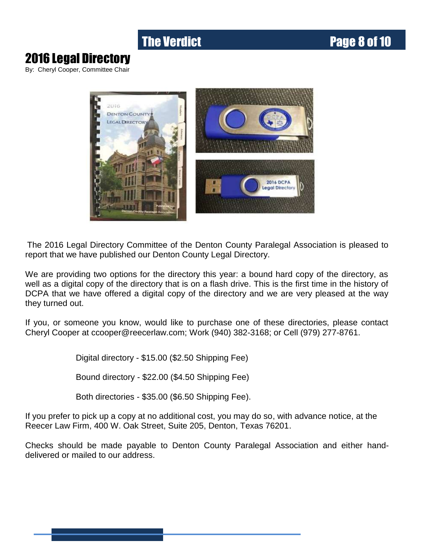## **The Verdict Community Community Page 8 of 10**

## 2016 Legal Directory

By: Cheryl Cooper, Committee Chair



The 2016 Legal Directory Committee of the Denton County Paralegal Association is pleased to report that we have published our Denton County Legal Directory.

We are providing two options for the directory this year: a bound hard copy of the directory, as well as a digital copy of the directory that is on a flash drive. This is the first time in the history of DCPA that we have offered a digital copy of the directory and we are very pleased at the way they turned out.

If you, or someone you know, would like to purchase one of these directories, please contact Cheryl Cooper at ccooper@reecerlaw.com; Work (940) 382-3168; or Cell (979) 277-8761.

Digital directory - \$15.00 (\$2.50 Shipping Fee)

Bound directory - \$22.00 (\$4.50 Shipping Fee)

Both directories - \$35.00 (\$6.50 Shipping Fee).

If you prefer to pick up a copy at no additional cost, you may do so, with advance notice, at the Reecer Law Firm, 400 W. Oak Street, Suite 205, Denton, Texas 76201.

Checks should be made payable to Denton County Paralegal Association and either handdelivered or mailed to our address.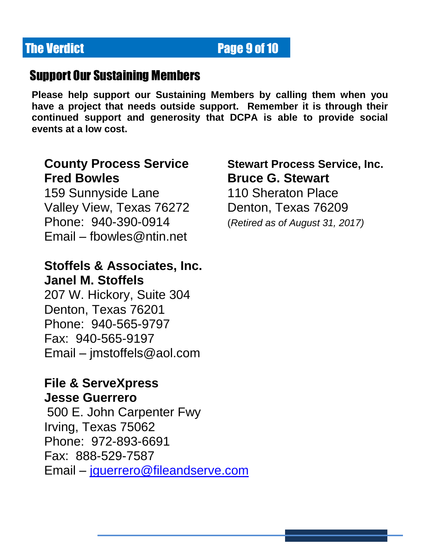## **The Verdict Page 9 of 10**

## Support Our Sustaining Members

**Please help support our Sustaining Members by calling them when you have a project that needs outside support. Remember it is through their continued support and generosity that DCPA is able to provide social events at a low cost.**

# **Fred Bowles Communist Bruce G. Stewart**

159 Sunnyside Lane 110 Sheraton Place Valley View, Texas 76272 Denton, Texas 76209 Phone: 940-390-0914 (*Retired as of August 31, 2017)* Email – [fbowles@ntin.net](mailto:fbowles@ntin.net) 

## **Stoffels & Associates, Inc. Janel M. Stoffels**

207 W. Hickory, Suite 304 Denton, Texas 76201 Phone: 940-565-9797 Fax: 940-565-9197 Email – [jmstoffels@aol.com](mailto:jmstoffels@aol.com) 

## **File & ServeXpress**

### **Jesse Guerrero**

500 E. John Carpenter Fwy Irving, Texas 75062 Phone: 972-893-6691 Fax: 888-529-7587 Email – [jguerrero@fileandserve.com](mailto:jguerrero@fileandserve.com)

# **County Process Service Stewart Process Service, Inc.**